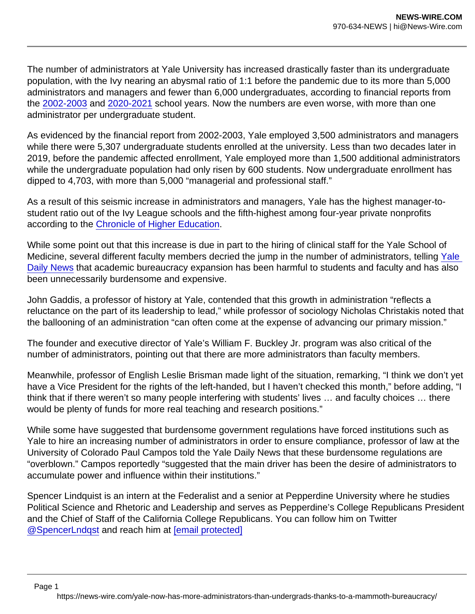The number of administrators at Yale University has increased drastically faster than its undergraduate population, with the Ivy nearing an abysmal ratio of 1:1 before the pandemic due to its more than 5,000 administrators and managers and fewer than 6,000 undergraduates, according to financial reports from the [2002-2003](https://your.yale.edu/sites/default/files/2002-2003_annual_financial_report_0.pdf) and [2020-2021](https://your.yale.edu/sites/default/files/2020-2021-yale-university-annual-financial-report.pdf) school years. Now the numbers are even worse, with more than one administrator per undergraduate student.

As evidenced by the financial report from 2002-2003, Yale employed 3,500 administrators and managers while there were 5,307 undergraduate students enrolled at the university. Less than two decades later in 2019, before the pandemic affected enrollment, Yale employed more than 1,500 additional administrators while the undergraduate population had only risen by 600 students. Now undergraduate enrollment has dipped to 4,703, with more than 5,000 "managerial and professional staff."

As a result of this seismic increase in administrators and managers, Yale has the highest manager-tostudent ratio out of the Ivy League schools and the fifth-highest among four-year private nonprofits according to the [Chronicle of Higher Education](https://www.chronicle.com/article/which-colleges-have-the-highest-number-of-managers-per-1-000-students/).

While some point out that this increase is due in part to the hiring of clinical staff for the Yale School of Medicine, several different faculty members decried the jump in the number of administrators, telling [Yale](https://yaledailynews.com/blog/2021/11/10/reluctance-on-the-part-of-its-leadership-to-lead-yales-administration-increases-by-nearly-50-percent/)  Daily News that academic bureaucracy expansion has been harmful to students and faculty and has also been unnecessarily burdensome and expensive.

John Gaddis, a professor of history at Yale, contended that this growth in administration "reflects a reluctance on the part of its leadership to lead," while professor of sociology Nicholas Christakis noted that the ballooning of an administration "can often come at the expense of advancing our primary mission."

The founder and executive director of Yale's William F. Buckley Jr. program was also critical of the number of administrators, pointing out that there are more administrators than faculty members.

Meanwhile, professor of English Leslie Brisman made light of the situation, remarking, "I think we don't yet have a Vice President for the rights of the left-handed, but I haven't checked this month," before adding, "I think that if there weren't so many people interfering with students' lives … and faculty choices … there would be plenty of funds for more real teaching and research positions."

While some have suggested that burdensome government regulations have forced institutions such as Yale to hire an increasing number of administrators in order to ensure compliance, professor of law at the University of Colorado Paul Campos told the Yale Daily News that these burdensome regulations are "overblown." Campos reportedly "suggested that the main driver has been the desire of administrators to accumulate power and influence within their institutions."

Spencer Lindquist is an intern at the Federalist and a senior at Pepperdine University where he studies Political Science and Rhetoric and Leadership and serves as Pepperdine's College Republicans President and the Chief of Staff of the California College Republicans. You can follow him on Twitter [@SpencerLndqst](https://twitter.com/SpencerLndqst) and reach him at [\[email protected\]](http://thefederalist.com/cdn-cgi/l/email-protection)

https://news-wire.com/yale-now-has-more-administrators-than-undergrads-thanks-to-a-mammoth-bureaucracy/

Page 1